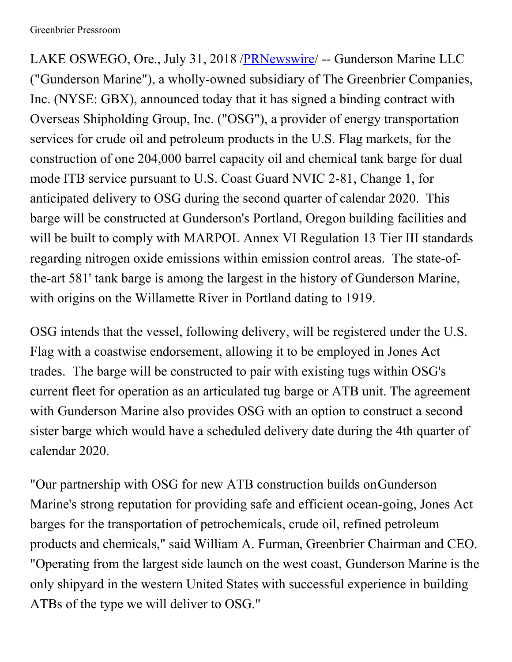LAKE OSWEGO, Ore., July 31, 2018 [/PRNewswire](http://www.prnewswire.com/)/ -- Gunderson Marine LLC ("Gunderson Marine"), a wholly-owned subsidiary of The Greenbrier Companies, Inc. (NYSE: GBX), announced today that it has signed a binding contract with Overseas Shipholding Group, Inc. ("OSG"), a provider of energy transportation services for crude oil and petroleum products in the U.S. Flag markets, for the construction of one 204,000 barrel capacity oil and chemical tank barge for dual mode ITB service pursuant to U.S. Coast Guard NVIC 2-81, Change 1, for anticipated delivery to OSG during the second quarter of calendar 2020. This barge will be constructed at Gunderson's Portland, Oregon building facilities and will be built to comply with MARPOL Annex VI Regulation 13 Tier III standards regarding nitrogen oxide emissions within emission control areas. The state-ofthe-art 581' tank barge is among the largest in the history of Gunderson Marine, with origins on the Willamette River in Portland dating to 1919.

OSG intends that the vessel, following delivery, will be registered under the U.S. Flag with a coastwise endorsement, allowing it to be employed in Jones Act trades. The barge will be constructed to pair with existing tugs within OSG's current fleet for operation as an articulated tug barge or ATB unit. The agreement with Gunderson Marine also provides OSG with an option to construct a second sister barge which would have a scheduled delivery date during the 4th quarter of calendar 2020.

"Our partnership with OSG for new ATB construction builds onGunderson Marine's strong reputation for providing safe and efficient ocean-going, Jones Act barges for the transportation of petrochemicals, crude oil, refined petroleum products and chemicals," said William A. Furman, Greenbrier Chairman and CEO. "Operating from the largest side launch on the west coast, Gunderson Marine is the only shipyard in the western United States with successful experience in building ATBs of the type we will deliver to OSG."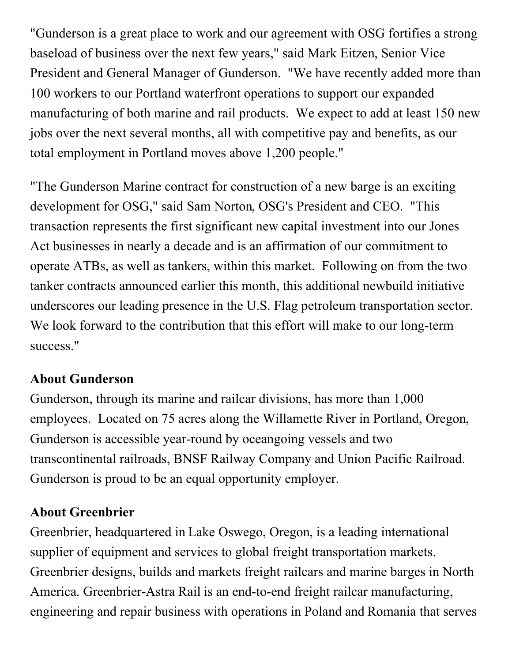"Gunderson is a great place to work and our agreement with OSG fortifies a strong baseload of business over the next few years," said Mark Eitzen, Senior Vice President and General Manager of Gunderson. "We have recently added more than 100 workers to our Portland waterfront operations to support our expanded manufacturing of both marine and rail products. We expect to add at least 150 new jobs over the next several months, all with competitive pay and benefits, as our total employment in Portland moves above 1,200 people."

"The Gunderson Marine contract for construction of a new barge is an exciting development for OSG," said Sam Norton, OSG's President and CEO. "This transaction represents the first significant new capital investment into our Jones Act businesses in nearly a decade and is an affirmation of our commitment to operate ATBs, as well as tankers, within this market. Following on from the two tanker contracts announced earlier this month, this additional newbuild initiative underscores our leading presence in the U.S. Flag petroleum transportation sector. We look forward to the contribution that this effort will make to our long-term success."

## **About Gunderson**

Gunderson, through its marine and railcar divisions, has more than 1,000 employees. Located on 75 acres along the Willamette River in Portland, Oregon, Gunderson is accessible year-round by oceangoing vessels and two transcontinental railroads, BNSF Railway Company and Union Pacific Railroad. Gunderson is proud to be an equal opportunity employer.

## **About Greenbrier**

Greenbrier, headquartered in Lake Oswego, Oregon, is a leading international supplier of equipment and services to global freight transportation markets. Greenbrier designs, builds and markets freight railcars and marine barges in North America. Greenbrier-Astra Rail is an end-to-end freight railcar manufacturing, engineering and repair business with operations in Poland and Romania that serves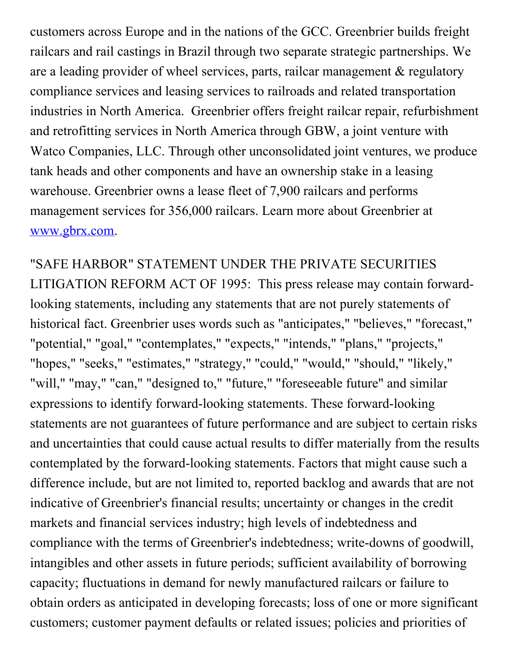customers across Europe and in the nations of the GCC. Greenbrier builds freight railcars and rail castings in Brazil through two separate strategic partnerships. We are a leading provider of wheel services, parts, railcar management & regulatory compliance services and leasing services to railroads and related transportation industries in North America. Greenbrier offers freight railcar repair, refurbishment and retrofitting services in North America through GBW, a joint venture with Watco Companies, LLC. Through other unconsolidated joint ventures, we produce tank heads and other components and have an ownership stake in a leasing warehouse. Greenbrier owns a lease fleet of 7,900 railcars and performs management services for 356,000 railcars. Learn more about Greenbrier at [www.gbrx.com](http://www.gbrx.com/).

"SAFE HARBOR" STATEMENT UNDER THE PRIVATE SECURITIES LITIGATION REFORM ACT OF 1995: This press release may contain forwardlooking statements, including any statements that are not purely statements of historical fact. Greenbrier uses words such as "anticipates," "believes," "forecast," "potential," "goal," "contemplates," "expects," "intends," "plans," "projects," "hopes," "seeks," "estimates," "strategy," "could," "would," "should," "likely," "will," "may," "can," "designed to," "future," "foreseeable future" and similar expressions to identify forward-looking statements. These forward-looking statements are not guarantees of future performance and are subject to certain risks and uncertainties that could cause actual results to differ materially from the results contemplated by the forward-looking statements. Factors that might cause such a difference include, but are not limited to, reported backlog and awards that are not indicative of Greenbrier's financial results; uncertainty or changes in the credit markets and financial services industry; high levels of indebtedness and compliance with the terms of Greenbrier's indebtedness; write-downs of goodwill, intangibles and other assets in future periods; sufficient availability of borrowing capacity; fluctuations in demand for newly manufactured railcars or failure to obtain orders as anticipated in developing forecasts; loss of one or more significant customers; customer payment defaults or related issues; policies and priorities of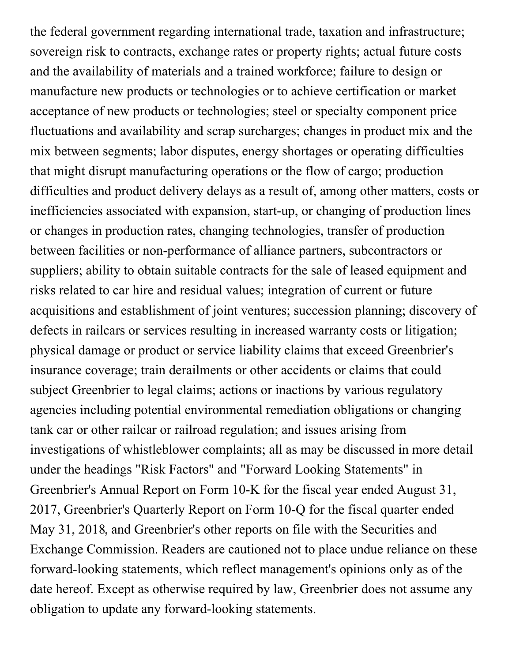the federal government regarding international trade, taxation and infrastructure; sovereign risk to contracts, exchange rates or property rights; actual future costs and the availability of materials and a trained workforce; failure to design or manufacture new products or technologies or to achieve certification or market acceptance of new products or technologies; steel or specialty component price fluctuations and availability and scrap surcharges; changes in product mix and the mix between segments; labor disputes, energy shortages or operating difficulties that might disrupt manufacturing operations or the flow of cargo; production difficulties and product delivery delays as a result of, among other matters, costs or inefficiencies associated with expansion, start-up, or changing of production lines or changes in production rates, changing technologies, transfer of production between facilities or non-performance of alliance partners, subcontractors or suppliers; ability to obtain suitable contracts for the sale of leased equipment and risks related to car hire and residual values; integration of current or future acquisitions and establishment of joint ventures; succession planning; discovery of defects in railcars or services resulting in increased warranty costs or litigation; physical damage or product or service liability claims that exceed Greenbrier's insurance coverage; train derailments or other accidents or claims that could subject Greenbrier to legal claims; actions or inactions by various regulatory agencies including potential environmental remediation obligations or changing tank car or other railcar or railroad regulation; and issues arising from investigations of whistleblower complaints; all as may be discussed in more detail under the headings "Risk Factors" and "Forward Looking Statements" in Greenbrier's Annual Report on Form 10-K for the fiscal year ended August 31, 2017, Greenbrier's Quarterly Report on Form 10-Q for the fiscal quarter ended May 31, 2018, and Greenbrier's other reports on file with the Securities and Exchange Commission. Readers are cautioned not to place undue reliance on these forward-looking statements, which reflect management's opinions only as of the date hereof. Except as otherwise required by law, Greenbrier does not assume any obligation to update any forward-looking statements.